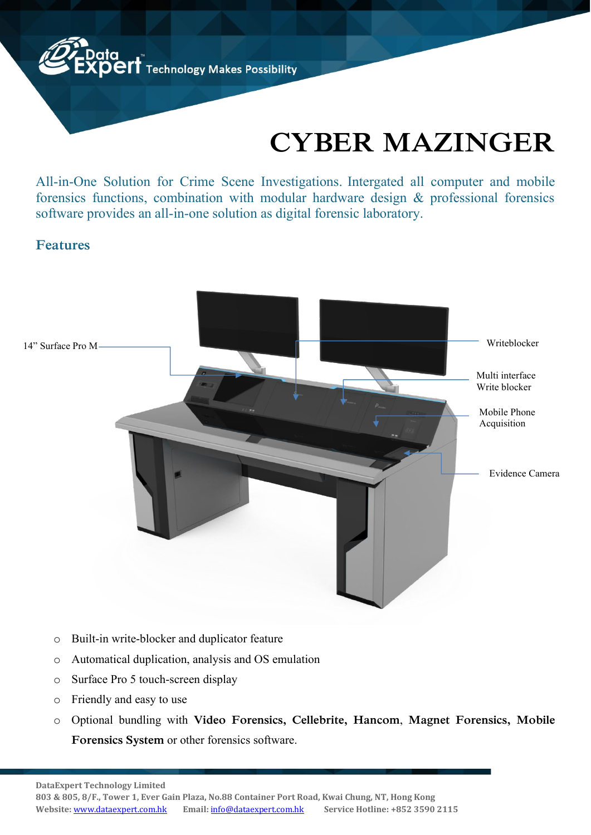

## **CYBER MAZINGER**

All-in-One Solution for Crime Scene Investigations. Intergated all computer and mobile forensics functions, combination with modular hardware design & professional forensics software provides an all-in-one solution as digital forensic laboratory.

## **Features**



- o Built-in write-blocker and duplicator feature
- o Automatical duplication, analysis and OS emulation
- o Surface Pro 5 touch-screen display
- o Friendly and easy to use
- o Optional bundling with **Video Forensics, Cellebrite, Hancom**, **Magnet Forensics, Mobile Forensics System** or other forensics software.